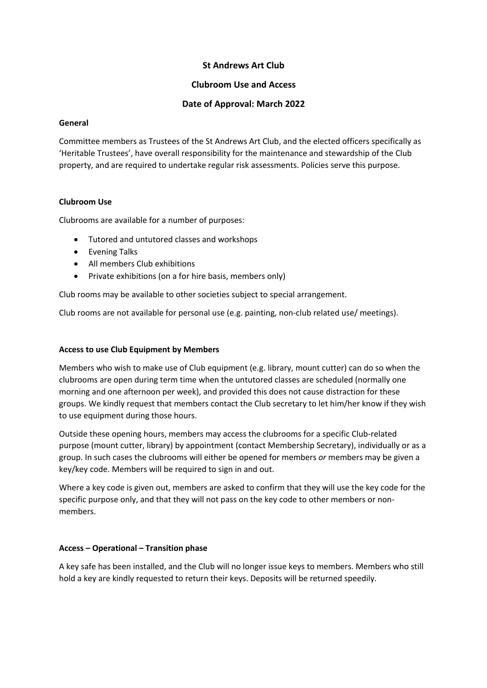# **St Andrews Art Club**

### **Clubroom Use and Access**

## **Date of Approval: March 2022**

#### **General**

Committee members as Trustees of the St Andrews Art Club, and the elected officers specifically as 'Heritable Trustees', have overall responsibility for the maintenance and stewardship of the Club property, and are required to undertake regular risk assessments. Policies serve this purpose.

#### **Clubroom Use**

Clubrooms are available for a number of purposes:

- Tutored and untutored classes and workshops
- Evening Talks
- All members Club exhibitions
- Private exhibitions (on a for hire basis, members only)

Club rooms may be available to other societies subject to special arrangement.

Club rooms are not available for personal use (e.g. painting, non-club related use/ meetings).

#### **Access to use Club Equipment by Members**

Members who wish to make use of Club equipment (e.g. library, mount cutter) can do so when the clubrooms are open during term time when the untutored classes are scheduled (normally one morning and one afternoon per week), and provided this does not cause distraction for these groups. We kindly request that members contact the Club secretary to let him/her know if they wish to use equipment during those hours.

Outside these opening hours, members may access the clubrooms for a specific Club-related purpose (mount cutter, library) by appointment (contact Membership Secretary), individually or as a group. In such cases the clubrooms will either be opened for members *or* members may be given a key/key code. Members will be required to sign in and out.

Where a key code is given out, members are asked to confirm that they will use the key code for the specific purpose only, and that they will not pass on the key code to other members or nonmembers.

#### **Access – Operational – Transition phase**

A key safe has been installed, and the Club will no longer issue keys to members. Members who still hold a key are kindly requested to return their keys. Deposits will be returned speedily.